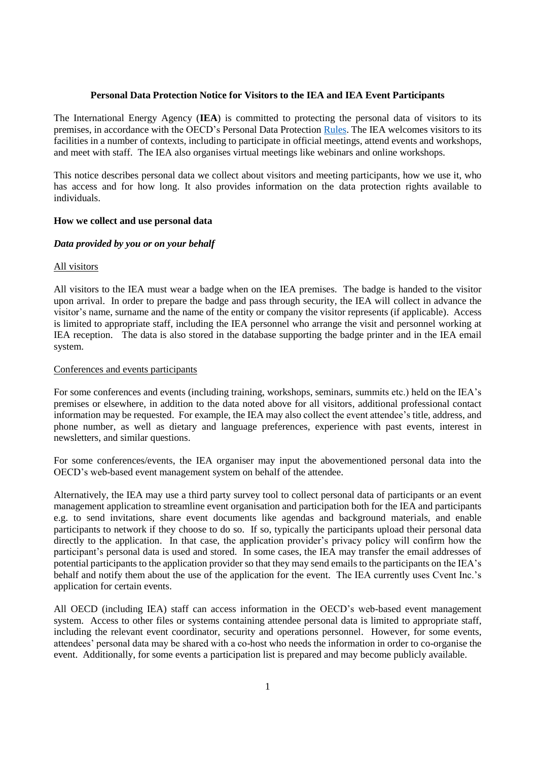### **Personal Data Protection Notice for Visitors to the IEA and IEA Event Participants**

The International Energy Agency (**IEA**) is committed to protecting the personal data of visitors to its premises, in accordance with the OECD's Personal Data Protection [Rules.](https://www.oecd.org/general/data-protection.htm) The IEA welcomes visitors to its facilities in a number of contexts, including to participate in official meetings, attend events and workshops, and meet with staff. The IEA also organises virtual meetings like webinars and online workshops.

This notice describes personal data we collect about visitors and meeting participants, how we use it, who has access and for how long. It also provides information on the data protection rights available to individuals.

## **How we collect and use personal data**

## *Data provided by you or on your behalf*

## All visitors

All visitors to the IEA must wear a badge when on the IEA premises. The badge is handed to the visitor upon arrival. In order to prepare the badge and pass through security, the IEA will collect in advance the visitor's name, surname and the name of the entity or company the visitor represents (if applicable). Access is limited to appropriate staff, including the IEA personnel who arrange the visit and personnel working at IEA reception. The data is also stored in the database supporting the badge printer and in the IEA email system.

# Conferences and events participants

For some conferences and events (including training, workshops, seminars, summits etc.) held on the IEA's premises or elsewhere, in addition to the data noted above for all visitors, additional professional contact information may be requested. For example, the IEA may also collect the event attendee's title, address, and phone number, as well as dietary and language preferences, experience with past events, interest in newsletters, and similar questions.

For some conferences/events, the IEA organiser may input the abovementioned personal data into the OECD's web-based event management system on behalf of the attendee.

Alternatively, the IEA may use a third party survey tool to collect personal data of participants or an event management application to streamline event organisation and participation both for the IEA and participants e.g. to send invitations, share event documents like agendas and background materials, and enable participants to network if they choose to do so. If so, typically the participants upload their personal data directly to the application. In that case, the application provider's privacy policy will confirm how the participant's personal data is used and stored. In some cases, the IEA may transfer the email addresses of potential participants to the application provider so that they may send emails to the participants on the IEA's behalf and notify them about the use of the application for the event. The IEA currently uses Cvent Inc.'s application for certain events.

All OECD (including IEA) staff can access information in the OECD's web-based event management system. Access to other files or systems containing attendee personal data is limited to appropriate staff, including the relevant event coordinator, security and operations personnel. However, for some events, attendees' personal data may be shared with a co-host who needs the information in order to co-organise the event. Additionally, for some events a participation list is prepared and may become publicly available.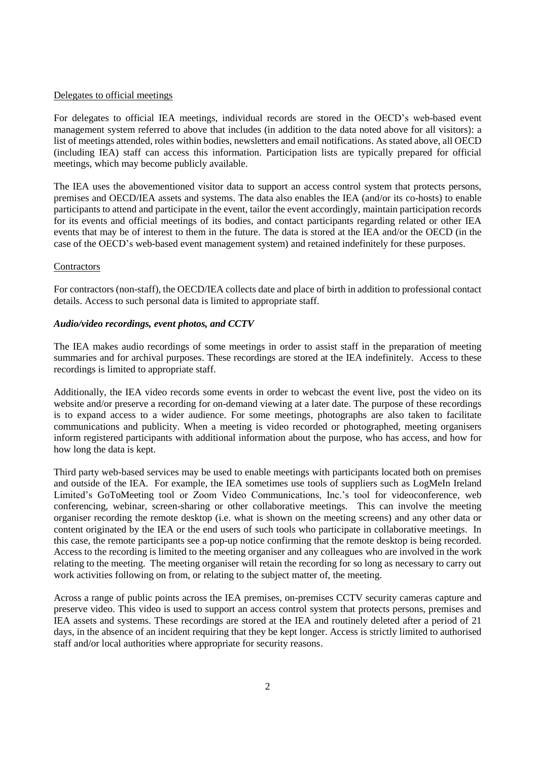#### Delegates to official meetings

For delegates to official IEA meetings, individual records are stored in the OECD's web-based event management system referred to above that includes (in addition to the data noted above for all visitors): a list of meetings attended, roles within bodies, newsletters and email notifications. As stated above, all OECD (including IEA) staff can access this information. Participation lists are typically prepared for official meetings, which may become publicly available.

The IEA uses the abovementioned visitor data to support an access control system that protects persons, premises and OECD/IEA assets and systems. The data also enables the IEA (and/or its co-hosts) to enable participants to attend and participate in the event, tailor the event accordingly, maintain participation records for its events and official meetings of its bodies, and contact participants regarding related or other IEA events that may be of interest to them in the future. The data is stored at the IEA and/or the OECD (in the case of the OECD's web-based event management system) and retained indefinitely for these purposes.

### **Contractors**

For contractors (non-staff), the OECD/IEA collects date and place of birth in addition to professional contact details. Access to such personal data is limited to appropriate staff.

### *Audio/video recordings, event photos, and CCTV*

The IEA makes audio recordings of some meetings in order to assist staff in the preparation of meeting summaries and for archival purposes. These recordings are stored at the IEA indefinitely. Access to these recordings is limited to appropriate staff.

Additionally, the IEA video records some events in order to webcast the event live, post the video on its website and/or preserve a recording for on-demand viewing at a later date. The purpose of these recordings is to expand access to a wider audience. For some meetings, photographs are also taken to facilitate communications and publicity. When a meeting is video recorded or photographed, meeting organisers inform registered participants with additional information about the purpose, who has access, and how for how long the data is kept.

Third party web-based services may be used to enable meetings with participants located both on premises and outside of the IEA. For example, the IEA sometimes use tools of suppliers such as LogMeIn Ireland Limited's GoToMeeting tool or Zoom Video Communications, Inc.'s tool for videoconference, web conferencing, webinar, screen-sharing or other collaborative meetings. This can involve the meeting organiser recording the remote desktop (i.e. what is shown on the meeting screens) and any other data or content originated by the IEA or the end users of such tools who participate in collaborative meetings. In this case, the remote participants see a pop-up notice confirming that the remote desktop is being recorded. Access to the recording is limited to the meeting organiser and any colleagues who are involved in the work relating to the meeting. The meeting organiser will retain the recording for so long as necessary to carry out work activities following on from, or relating to the subject matter of, the meeting.

Across a range of public points across the IEA premises, on-premises CCTV security cameras capture and preserve video. This video is used to support an access control system that protects persons, premises and IEA assets and systems. These recordings are stored at the IEA and routinely deleted after a period of 21 days, in the absence of an incident requiring that they be kept longer. Access is strictly limited to authorised staff and/or local authorities where appropriate for security reasons.